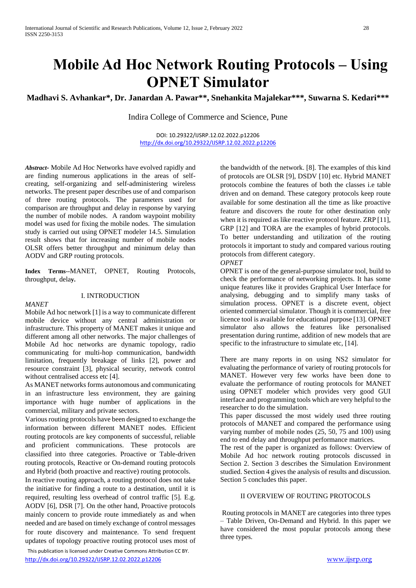# **Mobile Ad Hoc Network Routing Protocols – Using OPNET Simulator**

**Madhavi S. Avhankar\*, Dr. Janardan A. Pawar\*\*, Snehankita Majalekar\*\*\*, Suwarna S. Kedari\*\*\***

Indira College of Commerce and Science, Pune

DOI: 10.29322/IJSRP.12.02.2022.p12206 <http://dx.doi.org/10.29322/IJSRP.12.02.2022.p12206>

*Abstract-* Mobile Ad Hoc Networks have evolved rapidly and are finding numerous applications in the areas of selfcreating, self-organizing and self-administering wireless networks. The present paper describes use of and comparison of three routing protocols. The parameters used for comparison are throughput and delay in response by varying the number of mobile nodes. A random waypoint mobility model was used for fixing the mobile nodes. The simulation study is carried out using OPNET modeler 14.5. Simulation result shows that for increasing number of mobile nodes OLSR offers better throughput and minimum delay than AODV and GRP routing protocols.

**Index Terms--**MANET, OPNET, Routing Protocols, throughput, dela**y.**

#### I. INTRODUCTION

*MANET*

Mobile Ad hoc network [1] is a way to communicate different mobile device without any central administration or infrastructure. This property of MANET makes it unique and different among all other networks. The major challenges of Mobile Ad hoc networks are dynamic topology, radio communicating for multi-hop communication, bandwidth limitation, frequently breakage of links [2], power and resource constraint [3], physical security, network control without centralised access etc [4].

As MANET networks forms autonomous and communicating in an infrastructure less environment, they are gaining importance with huge number of applications in the commercial, military and private sectors.

Various routing protocols have been designed to exchange the information between different MANET nodes. Efficient routing protocols are key components of successful, reliable and proficient communications. These protocols are classified into three categories. Proactive or Table-driven routing protocols, Reactive or On-demand routing protocols and Hybrid (both proactive and reactive) routing protocols.

In reactive routing approach, a routing protocol does not take the initiative for finding a route to a destination, until it is required, resulting less overhead of control traffic [5]. E.g. AODV [6], DSR [7]. On the other hand, Proactive protocols mainly concern to provide route immediately as and when needed and are based on timely exchange of control messages for route discovery and maintenance. To send frequent updates of topology proactive routing protocol uses most of

the bandwidth of the network. [8]. The examples of this kind of protocols are OLSR [9], DSDV [10] etc. Hybrid MANET protocols combine the features of both the classes i.e table driven and on demand. These category protocols keep route available for some destination all the time as like proactive feature and discovers the route for other destination only when it is required as like reactive protocol feature. ZRP [11], GRP [12] and TORA are the examples of hybrid protocols. To better understanding and utilization of the routing protocols it important to study and compared various routing protocols from different category.

*OPNET* 

OPNET is one of the general-purpose simulator tool, build to check the performance of networking projects. It has some unique features like it provides Graphical User Interface for analysing, debugging and to simplify many tasks of simulation process. OPNET is a discrete event, object oriented commercial simulator. Though it is commercial, free licence tool is available for educational purpose [13]. OPNET simulator also allows the features like personalised presentation during runtime, addition of new models that are specific to the infrastructure to simulate etc, [14].

There are many reports in on using NS2 simulator for evaluating the performance of variety of routing protocols for MANET. However very few works have been done to evaluate the performance of routing protocols for MANET using OPNET modeler which provides very good GUI interface and programming tools which are very helpful to the researcher to do the simulation.

This paper discussed the most widely used three routing protocols of MANET and compared the performance using varying number of mobile nodes (25, 50, 75 and 100) using end to end delay and throughput performance matrices.

The rest of the paper is organized as follows: Overview of Mobile Ad hoc network routing protocols discussed in Section 2. Section 3 describes the Simulation Environment studied. Section 4 gives the analysis of results and discussion. Section 5 concludes this paper.

### II OVERVIEW OF ROUTING PROTOCOLS

Routing protocols in MANET are categories into three types – Table Driven, On-Demand and Hybrid. In this paper we have considered the most popular protocols among these three types.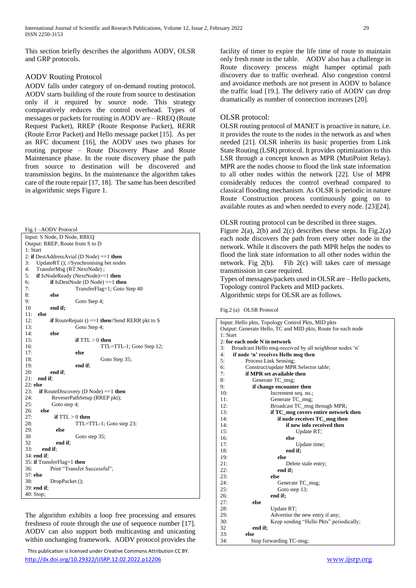This section briefly describes the algorithms AODV, OLSR and GRP protocols.

# AODV Routing Protocol

AODV falls under category of on-demand routing protocol. AODV starts building of the route from source to destination only if it required by source node. This strategy comparatively reduces the control overhead. Types of messages or packets for routing in AODV are – RREQ (Route Request Packet), RREP (Route Response Packet), RERR (Route Error Packet) and Hello message packet [15]. As per an RFC document [16], the AODV uses two phases for routing purpose – Route Discovery Phase and Route Maintenance phase. In the route discovery phase the path from source to destination will be discovered and transmission begins. In the maintenance the algorithm takes care of the route repair [17, 18]. The same has been described in algorithmic steps Figure 1.

| Fig.1-AODV Protocol                                                  |
|----------------------------------------------------------------------|
| Input: S Node, D Node, RREQ                                          |
| Output: RREP, Route from S to D                                      |
| 1: Start                                                             |
| 2: if DestAddressAvial (D Node) == 1 then                            |
| 3:<br>UpdateRT (); //Synchronising bet nodes                         |
| 4:<br>TransferMsg (RT.NextNode);                                     |
| 5:<br>if IsNodeReady (NextNode) $==1$ then                           |
| if IsDestNode (D Node) $==1$ then<br>6:                              |
| 7:<br>TransferFlag=1; Goto Step 40                                   |
| 8:<br>else                                                           |
| 9:<br>Goto Step 4;                                                   |
| 10<br>end if;                                                        |
| else<br>11:                                                          |
| 12:<br><b>if</b> RouteRepair () ==1 <b>then</b> //Send RERR pkt to S |
| 13:<br>Goto Step 4;                                                  |
| else<br>14:                                                          |
| 15:<br>if $TTL > 0$ then                                             |
| 16:<br>TTL=TTL-1; Goto Step 12;                                      |
| else<br>17:                                                          |
| 18:<br>Goto Step 35;                                                 |
| 19:<br>end if:                                                       |
| 20:<br>end if;                                                       |
| 21:<br>end if;                                                       |
| $22:$ else                                                           |
| 23:<br><b>if</b> RouteDiscovery (D Node) ==1 <b>then</b>             |
| 24:<br>ReveserPathSetup (RREP pkt);                                  |
| 25:<br>Goto step 4;                                                  |
| 26:<br>else                                                          |
| 27:<br>if $TTL > 0$ then                                             |
| 28:<br>TTL=TTL-1; Goto step 23;                                      |
| 29:<br>else                                                          |
| 30<br>Goto step 35;                                                  |
| 32<br>end if:                                                        |
| 33:<br>end if:                                                       |
| 34: end if:                                                          |
| 35: if TransferFlag=1 then                                           |
| 36:<br>Print "Transfer Successful";                                  |
| 37: else                                                             |
| 38:<br>DropPacket ();                                                |
| 39: end if;                                                          |
| 40: Stop;                                                            |

The algorithm exhibits a loop free processing and ensures freshness of route through the use of sequence number [17]. AODV can also support both multicasting and unicasting within unchanging framework. AODV protocol provides the

 This publication is licensed under Creative Commons Attribution CC BY. <http://dx.doi.org/10.29322/IJSRP.12.02.2022.p12206> [www.ijsrp.org](http://ijsrp.org/)

facility of timer to expire the life time of route to maintain only fresh route in the table. AODV also has a challenge in Route discovery process might hamper optimal path discovery due to traffic overhead. Also congestion control and avoidance methods are not present in AODV to balance the traffic load [19.]. The delivery ratio of AODV can drop dramatically as number of connection increases [20].

# OLSR protocol:

OLSR routing protocol of MANET is proactive in nature, i.e. it provides the route to the nodes in the network as and when needed [21]. OLSR inherits its basic properties from Link State Routing (LSR) protocol. It provides optimization to this LSR through a concept known as MPR (MutiPoint Relay). MPR are the nodes choose to flood the link state information to all other nodes within the network [22]. Use of MPR considerably reduces the control overhead compared to classical flooding mechanism. As OLSR is periodic in nature Route Construction process continuously going on to available routes as and when needed to every node. [23][24].

OLSR routing protocol can be described in three stages.

Figure 2(a), 2(b) and 2(c) describes these steps. In Fig.2(a) each node discovers the path from every other node in the network. While it discovers the path MPR helps the nodes to flood the link state information to all other nodes within the network. Fig 2(b). Fib 2(c) will takes care of message transmission in case required.

Types of messages/packets used in OLSR are – Hello packets, Topology control Packets and MID packets. Algorithmic steps for OLSR are as follows.

Fig.2 (a) OLSR Protocol

| Input: Hello pkts, Topology Control Pkts, MID pkts            |
|---------------------------------------------------------------|
| Output: Generate Hello, TC and MID pkts, Route for each node  |
| 1: Start                                                      |
| $2:$ for each node $N$ in network                             |
| 3:<br>Broadcast Hello msg-received by all neighbour nodes 'n' |
| if node 'n' receives Hello msg then<br>4:                     |
| 5:<br>Process Link Sensing;                                   |
| Construct/update MPR Selector table;<br>6:                    |
| if MPR set available then<br>7:                               |
| 8:<br>Generate TC_msg;                                        |
| if change encounter then<br>9:                                |
| 10:<br>Increment seq. no.;                                    |
| 11:<br>Generate TC_msg;                                       |
| 12:<br>Broadcast TC_msg through MPR;                          |
| 13:<br>if TC_msg covers entire network then                   |
| if node receives TC_msg then<br>14:                           |
| if new info received then<br>14:                              |
| 15:<br>Update RT;                                             |
| 16:<br>else                                                   |
| 17:<br>Update time;                                           |
| 18:<br>end if;                                                |
| 19:<br>else                                                   |
| 21:<br>Delete stale entry;                                    |
| 22:<br>end if;                                                |
| 23:<br>else                                                   |
| 24:<br>Generate TC_msg;                                       |
| 25:<br>Goto step 13;                                          |
| 26:<br>end if;                                                |
| else<br>27:                                                   |
| 28:<br>Update RT;                                             |
| 29:<br>Advertise the new entry if any;                        |
| 30:<br>Keep sending "Hello Pkts" periodically;                |
| 32<br>end if;                                                 |
| 33:<br>else                                                   |
| 34:<br>Stop forwarding TC-msg;                                |
|                                                               |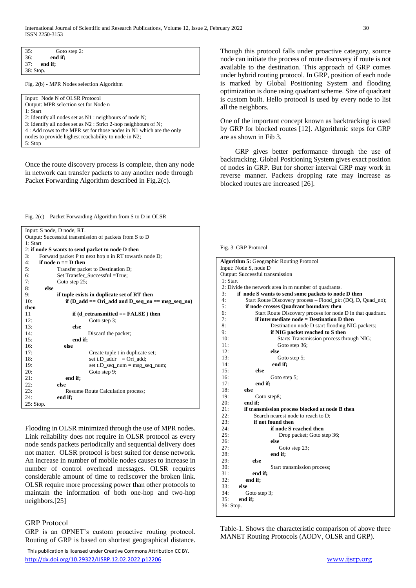| 36:<br>end if;                                                       |
|----------------------------------------------------------------------|
| 37:<br>end if;                                                       |
| 38: Stop.                                                            |
| Fig. 2(b) - MPR Nodes selection Algorithm                            |
| Input: Node N of OLSR Protocol                                       |
| Output: MPR selection set for Node n                                 |
| 1: Start                                                             |
| 2: Identify all nodes set as $N1$ : neighbours of node $N$ ;         |
| 3: Identify all nodes set as $N2$ : Strict 2-hop neighbours of N;    |
| 4 : Add rows to the MPR set for those nodes in N1 which are the only |
| nodes to provide highest reachability to node in N2;                 |

5: Stop

35: Goto step 2:

Once the route discovery process is complete, then any node in network can transfer packets to any another node through Packet Forwarding Algorithm described in Fig.2(c).

Fig. 2(c) – Packet Forwarding Algorithm from S to D in OLSR

| Input: S node, D node, RT.                                     |
|----------------------------------------------------------------|
| Output: Successful transmission of packets from S to D         |
| 1: Start                                                       |
| 2: if node S wants to send packet to node D then               |
| 3:<br>Forward packet P to next hop n in RT towards node D;     |
| if node $n == D$ then<br>4:                                    |
| 5:<br>Transfer packet to Destination D;                        |
| 6:<br>Set Transfer Successful = True;                          |
| 7:<br>Goto step 25;                                            |
| 8:<br>else                                                     |
| if tuple exists in duplicate set of RT then<br>9:              |
| 10:<br>if $(D_{ad}d == Ori_{ad}d$ and $D_{seg}n = msg_{seq}n)$ |
| then                                                           |
| 11<br>if (d retransmitted $==$ FALSE) then                     |
| 12:<br>Goto step 3;                                            |
| 13:<br>else                                                    |
| 14:<br>Discard the packet;                                     |
| 15:<br>end if;                                                 |
| 16:<br>else                                                    |
| 17:<br>Create tuple t in duplicate set;                        |
| 18:<br>set t.D_addr = $Ori\_add$ ;                             |
| 19:<br>set t.D_seq_num = msg_seq_num;                          |
| 20:<br>Goto step 9;                                            |
| 21:<br>end if;                                                 |
| 22:<br>else                                                    |
| 23:<br>Resume Route Calculation process;                       |
| 24:<br>end if;                                                 |
| 25: Stop.                                                      |

Flooding in OLSR minimized through the use of MPR nodes. Link reliability does not require in OLSR protocol as every node sends packets periodically and sequential delivery does not matter. OLSR protocol is best suited for dense network. An increase in number of mobile nodes causes to increase in number of control overhead messages. OLSR requires considerable amount of time to rediscover the broken link. OLSR require more processing power than other protocols to maintain the information of both one-hop and two-hop neighbors.[25]

# GRP Protocol

GRP is an OPNET's custom proactive routing protocol. Routing of GRP is based on shortest geographical distance.

Though this protocol falls under proactive category, source node can initiate the process of route discovery if route is not available to the destination. This approach of GRP comes under hybrid routing protocol. In GRP, position of each node is marked by Global Positioning System and flooding optimization is done using quadrant scheme. Size of quadrant is custom built. Hello protocol is used by every node to list all the neighbors.

One of the important concept known as backtracking is used by GRP for blocked routes [12]. Algorithmic steps for GRP are as shown in Fib 3.

GRP gives better performance through the use of backtracking. Global Positioning System gives exact position of nodes in GRP. But for shorter interval GRP may work in reverse manner. Packets dropping rate may increase as blocked routes are increased [26].

#### Fig. 3 GRP Protocol

| <b>Algorithm 5: Geographic Routing Protocol</b>                   |
|-------------------------------------------------------------------|
| Input: Node S, node D                                             |
| Output: Successful transmission                                   |
| 1: Start                                                          |
| 2: Divide the network area in m number of quadrants.              |
| 3:<br>if node S wants to send some packets to node D then         |
| 4:<br>Start Route Discovery process - Flood_pkt (DQ, D, Quad_no); |
| 5:<br>if node crosses Quadrant boundary then                      |
| 6:<br>Start Route Discovery process for node D in that quadrant.  |
| 7:<br>if intermediate node $=$ Destination D then                 |
| 8:<br>Destination node D start flooding NIG packets;              |
| 9:<br>if NIG packet reached to S then                             |
| 10:<br>Starts Transmission process through NIG;                   |
| 11:<br>Goto step 36;                                              |
| 12:<br>else                                                       |
| 13:<br>Goto step 5;                                               |
| 14:<br>end if;                                                    |
| 15:<br>else                                                       |
| 16:<br>Goto step 5;                                               |
| 17:<br>end if;                                                    |
| 18:<br>else                                                       |
| 19:<br>Goto step8;                                                |
| 20:<br>end if:                                                    |
| 21:<br>if transmission process blocked at node B then             |
| 22:<br>Search nearest node to reach to D;                         |
| if not found then<br>23:                                          |
| if node S reached then<br>24:                                     |
| 25:<br>Drop packet; Goto step 36;                                 |
| 26:<br>else                                                       |
| 27:<br>Goto step 23;                                              |
| 28:<br>end if:                                                    |
| 29:<br>else                                                       |
| 30:<br>Start transmission process;                                |
| 31:<br>end if;                                                    |
| 32:<br>end if;                                                    |
| 33:<br>else                                                       |
| 34:<br>Goto step 3;                                               |
| 35:<br>end if;                                                    |
| 36: Stop.                                                         |
|                                                                   |

Table-1. Shows the characteristic comparison of above three MANET Routing Protocols (AODV, OLSR and GRP).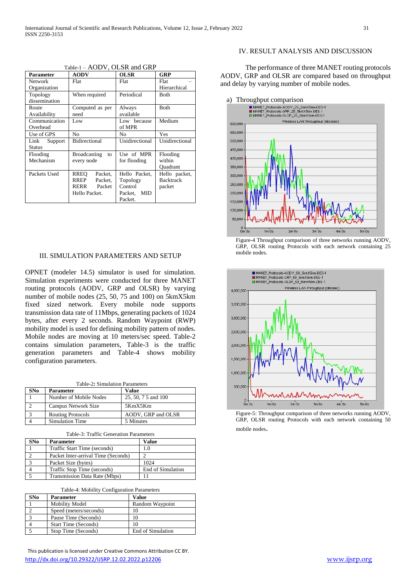| Parameter       | <b>AODV</b>               | <b>OLSR</b>    | GRP              |
|-----------------|---------------------------|----------------|------------------|
| <b>Network</b>  | Flat                      | Flat           | Flat             |
| Organization    |                           |                | Hierarchical     |
| Topology        | When required             | Periodical     | Both             |
| dissemination   |                           |                |                  |
| Route           | Computed as per           | Always         | <b>Both</b>      |
| Availability    | need                      | available      |                  |
| Communication   | Low                       | Low because    | Medium           |
| Overhead        |                           | of MPR         |                  |
| Use of GPS      | No                        | No             | Yes              |
| Support<br>Link | Bidirectional             | Unidirectional | Unidirectional   |
| Status          |                           |                |                  |
| Flooding        | <b>Broadcasting</b><br>to | Use of MPR     | Flooding         |
| Mechanism       | every node                | for flooding   | within           |
|                 |                           |                | Ouadrant         |
| Packets Used    | Packet.<br>RREO           | Hello Packet.  | Hello packet,    |
|                 | RREP<br>Packet.           | Topology       | <b>Backtrack</b> |
|                 | RERR<br>Packet            | Control        | packet           |
|                 | Hello Packet.             | MID<br>Packet, |                  |
|                 |                           | Packet.        |                  |

Table-1 – AODV, OLSR and GRP

### III. SIMULATION PARAMETERS AND SETUP

OPNET (modeler 14.5) simulator is used for simulation. Simulation experiments were conducted for three MANET routing protocols (AODV, GRP and OLSR) by varying number of mobile nodes (25, 50, 75 and 100) on 5kmX5km fixed sized network. Every mobile node supports transmission data rate of 11Mbps, generating packets of 1024 bytes, after every 2 seconds. Random Waypoint (RWP) mobility model is used for defining mobility pattern of nodes. Mobile nodes are moving at 10 meters/sec speed. Table-2 contains simulation parameters, Table-3 is the traffic generation parameters and Table-4 shows mobility configuration parameters.

| Table-2: Simulation Parameters |                          |                     |  |
|--------------------------------|--------------------------|---------------------|--|
| SNo                            | <b>Parameter</b>         | Value               |  |
|                                | Number of Mobile Nodes   | 25, 50, 7 5 and 100 |  |
|                                | Campus Network Size      | 5KmX5Km             |  |
|                                | <b>Routing Protocols</b> | AODV, GRP and OLSR  |  |
|                                | <b>Simulation Time</b>   | 5 Minutes           |  |

| SNo | <b>Parameter</b>                    | Value             |
|-----|-------------------------------------|-------------------|
|     | Traffic Start Time (seconds)        | 10                |
|     | Packet Inter-arrival Time (Seconds) |                   |
|     | Packet Size (bytes)                 | 1024              |
|     | Traffic Stop Time (seconds)         | End of Simulation |
|     | Transmission Data Rate (Mbps)       |                   |

| Table-4: Mobility Configuration Parameters |
|--------------------------------------------|
|--------------------------------------------|

| SNo | <b>Parameter</b>       | Value             |
|-----|------------------------|-------------------|
|     | <b>Mobility Model</b>  | Random Waypoint   |
|     | Speed (meters/seconds) | 10                |
|     | Pause Time (Seconds)   | 10                |
|     | Start Time (Seconds)   | 10                |
|     | Stop Time (Seconds)    | End of Simulation |

 This publication is licensed under Creative Commons Attribution CC BY. <http://dx.doi.org/10.29322/IJSRP.12.02.2022.p12206> [www.ijsrp.org](http://ijsrp.org/)

#### IV. RESULT ANALYSIS AND DISCUSSION

The performance of three MANET routing protocols AODV, GRP and OLSR are compared based on throughput and delay by varying number of mobile nodes.



Figure-4 Throughput comparison of three networks running AODV, GRP, OLSR routing Protocols with each network containing 25 mobile nodes.



Figure-5: Throughput comparison of three networks running AODV, GRP, OLSR routing Protocols with each network containing 50 mobile nodes.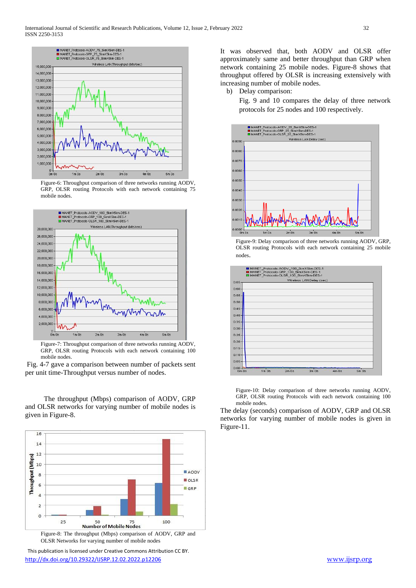

Figure-6: Throughput comparison of three networks running AODV, GRP, OLSR routing Protocols with each network containing 75 mobile nodes.



Figure-7: Throughput comparison of three networks running AODV, GRP, OLSR routing Protocols with each network containing 100 mobile nodes.

Fig. 4-7 gave a comparison between number of packets sent per unit time-Throughput versus number of nodes.

The throughput (Mbps) comparison of AODV, GRP and OLSR networks for varying number of mobile nodes is given in Figure-8.



Figure-8: The throughput (Mbps) comparison of AODV, GRP and OLSR Networks for varying number of mobile nodes

 This publication is licensed under Creative Commons Attribution CC BY. <http://dx.doi.org/10.29322/IJSRP.12.02.2022.p12206> [www.ijsrp.org](http://ijsrp.org/)

It was observed that, both AODV and OLSR offer approximately same and better throughput than GRP when network containing 25 mobile nodes. Figure-8 shows that throughput offered by OLSR is increasing extensively with increasing number of mobile nodes.

b) Delay comparison:

Fig. 9 and 10 compares the delay of three network protocols for 25 nodes and 100 respectively.







Figure-10: Delay comparison of three networks running AODV, GRP, OLSR routing Protocols with each network containing 100 mobile nodes.

The delay (seconds) comparison of AODV, GRP and OLSR networks for varying number of mobile nodes is given in Figure-11.